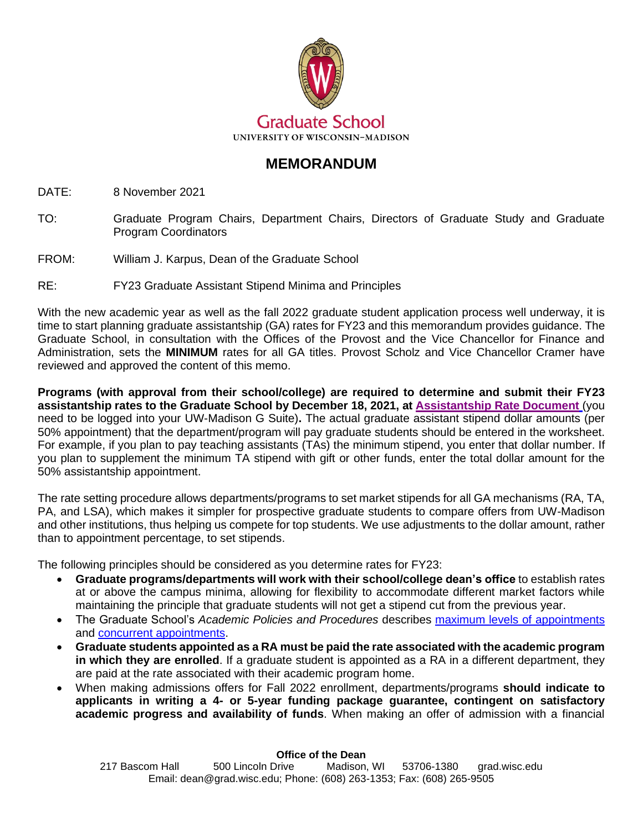

## **MEMORANDUM**

DATE: 8 November 2021

- TO: Graduate Program Chairs, Department Chairs, Directors of Graduate Study and Graduate Program Coordinators
- FROM: William J. Karpus, Dean of the Graduate School

## RE: FY23 Graduate Assistant Stipend Minima and Principles

With the new academic year as well as the fall 2022 graduate student application process well underway, it is time to start planning graduate assistantship (GA) rates for FY23 and this memorandum provides guidance. The Graduate School, in consultation with the Offices of the Provost and the Vice Chancellor for Finance and Administration, sets the **MINIMUM** rates for all GA titles. Provost Scholz and Vice Chancellor Cramer have reviewed and approved the content of this memo.

**Programs (with approval from their school/college) are required to determine and submit their FY23 assistantship rates to the Graduate School by December 18, 2021, at [Assistantship Rate Document](https://docs.google.com/forms/d/e/1FAIpQLSdqZ7dwCKpQEZINstxbZZxQxA7Pnph_j8cjb0XQe0_FLyVeMQ/viewform?usp=sf_link)** (you need to be logged into your UW-Madison G Suite)**.** The actual graduate assistant stipend dollar amounts (per 50% appointment) that the department/program will pay graduate students should be entered in the worksheet. For example, if you plan to pay teaching assistants (TAs) the minimum stipend, you enter that dollar number. If you plan to supplement the minimum TA stipend with gift or other funds, enter the total dollar amount for the 50% assistantship appointment.

The rate setting procedure allows departments/programs to set market stipends for all GA mechanisms (RA, TA, PA, and LSA), which makes it simpler for prospective graduate students to compare offers from UW-Madison and other institutions, thus helping us compete for top students. We use adjustments to the dollar amount, rather than to appointment percentage, to set stipends.

The following principles should be considered as you determine rates for FY23:

- **Graduate programs/departments will work with their school/college dean's office** to establish rates at or above the campus minima, allowing for flexibility to accommodate different market factors while maintaining the principle that graduate students will not get a stipend cut from the previous year.
- The Graduate School's *Academic Policies and Procedures* describes [maximum levels of appointments](https://grad.wisc.edu/acadpolicy/?policy=maximumlevelsofappointments) and [concurrent appointments.](https://grad.wisc.edu/acadpolicy/?policy=concurrentappointments)
- **Graduate students appointed as a RA must be paid the rate associated with the academic program in which they are enrolled**. If a graduate student is appointed as a RA in a different department, they are paid at the rate associated with their academic program home.
- When making admissions offers for Fall 2022 enrollment, departments/programs **should indicate to applicants in writing a 4- or 5-year funding package guarantee, contingent on satisfactory academic progress and availability of funds**. When making an offer of admission with a financial

## **Office of the Dean**